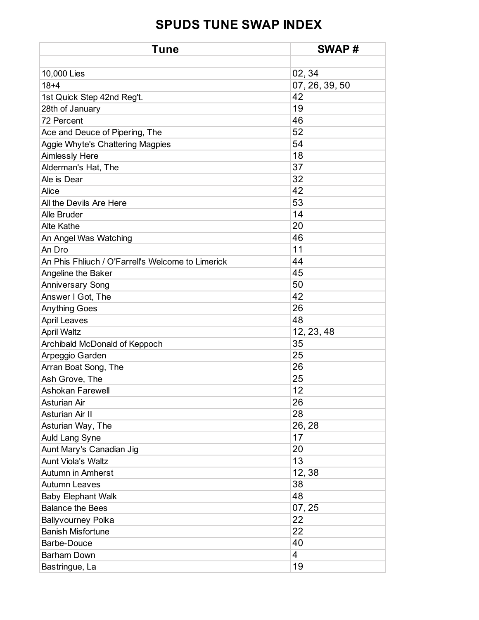| <b>Tune</b>                                       | SWAP#          |
|---------------------------------------------------|----------------|
|                                                   |                |
| 10,000 Lies                                       | 02, 34         |
| $18 + 4$                                          | 07, 26, 39, 50 |
| 1st Quick Step 42nd Reg't.                        | 42             |
| 28th of January                                   | 19             |
| 72 Percent                                        | 46             |
| Ace and Deuce of Pipering, The                    | 52             |
| Aggie Whyte's Chattering Magpies                  | 54             |
| <b>Aimlessly Here</b>                             | 18             |
| Alderman's Hat, The                               | 37             |
| Ale is Dear                                       | 32             |
| Alice                                             | 42             |
| All the Devils Are Here                           | 53             |
| Alle Bruder                                       | 14             |
| <b>Alte Kathe</b>                                 | 20             |
| An Angel Was Watching                             | 46             |
| An Dro                                            | 11             |
| An Phis Fhliuch / O'Farrell's Welcome to Limerick | 44             |
| Angeline the Baker                                | 45             |
| <b>Anniversary Song</b>                           | 50             |
| Answer I Got, The                                 | 42             |
| <b>Anything Goes</b>                              | 26             |
| <b>April Leaves</b>                               | 48             |
| <b>April Waltz</b>                                | 12, 23, 48     |
| Archibald McDonald of Keppoch                     | 35             |
| Arpeggio Garden                                   | 25             |
| Arran Boat Song, The                              | 26             |
| Ash Grove, The                                    | 25             |
| Ashokan Farewell                                  | 12             |
| <b>Asturian Air</b>                               | 26             |
| <b>Asturian Air II</b>                            | 28             |
| Asturian Way, The                                 | 26, 28         |
| Auld Lang Syne                                    | 17             |
| Aunt Mary's Canadian Jig                          | 20             |
| <b>Aunt Viola's Waltz</b>                         | 13             |
| <b>Autumn in Amherst</b>                          | 12,38          |
| <b>Autumn Leaves</b>                              | 38             |
| <b>Baby Elephant Walk</b>                         | 48             |
| <b>Balance the Bees</b>                           | 07, 25         |
| <b>Ballyvourney Polka</b>                         | 22             |
| <b>Banish Misfortune</b>                          | 22             |
| Barbe-Douce                                       | 40             |
| Barham Down                                       | 4              |
| Bastringue, La                                    | 19             |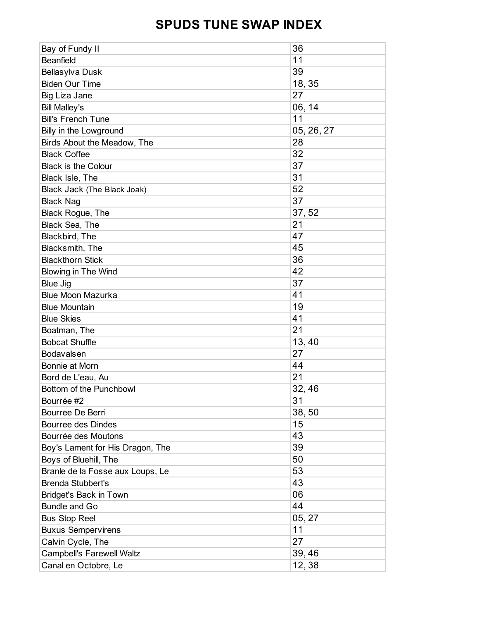| Bay of Fundy II                  | 36         |
|----------------------------------|------------|
| <b>Beanfield</b>                 | 11         |
| Bellasylva Dusk                  | 39         |
| <b>Biden Our Time</b>            | 18, 35     |
| Big Liza Jane                    | 27         |
| <b>Bill Malley's</b>             | 06, 14     |
| <b>Bill's French Tune</b>        | 11         |
| Billy in the Lowground           | 05, 26, 27 |
| Birds About the Meadow, The      | 28         |
| <b>Black Coffee</b>              | 32         |
| <b>Black is the Colour</b>       | 37         |
| Black Isle, The                  | 31         |
| Black Jack (The Black Joak)      | 52         |
| <b>Black Nag</b>                 | 37         |
| Black Rogue, The                 | 37,52      |
| Black Sea, The                   | 21         |
| Blackbird, The                   | 47         |
| Blacksmith, The                  | 45         |
| <b>Blackthorn Stick</b>          | 36         |
| <b>Blowing in The Wind</b>       | 42         |
| <b>Blue Jig</b>                  | 37         |
| <b>Blue Moon Mazurka</b>         | 41         |
| <b>Blue Mountain</b>             | 19         |
| <b>Blue Skies</b>                | 41         |
| Boatman, The                     | 21         |
| <b>Bobcat Shuffle</b>            | 13,40      |
| Bodavalsen                       | 27         |
| Bonnie at Morn                   | 44         |
| Bord de L'eau, Au                | 21         |
| Bottom of the Punchbowl          | 32,46      |
| Bourrée #2                       | 31         |
| Bourree De Berri                 | 38,50      |
| <b>Bourree des Dindes</b>        | 15         |
| Bourrée des Moutons              | 43         |
| Boy's Lament for His Dragon, The | 39         |
| Boys of Bluehill, The            | 50         |
| Branle de la Fosse aux Loups, Le | 53         |
| <b>Brenda Stubbert's</b>         | 43         |
| <b>Bridget's Back in Town</b>    | 06         |
| Bundle and Go                    | 44         |
| <b>Bus Stop Reel</b>             | 05, 27     |
| <b>Buxus Sempervirens</b>        | 11         |
| Calvin Cycle, The                | 27         |
| <b>Campbell's Farewell Waltz</b> | 39,46      |
| Canal en Octobre, Le             | 12,38      |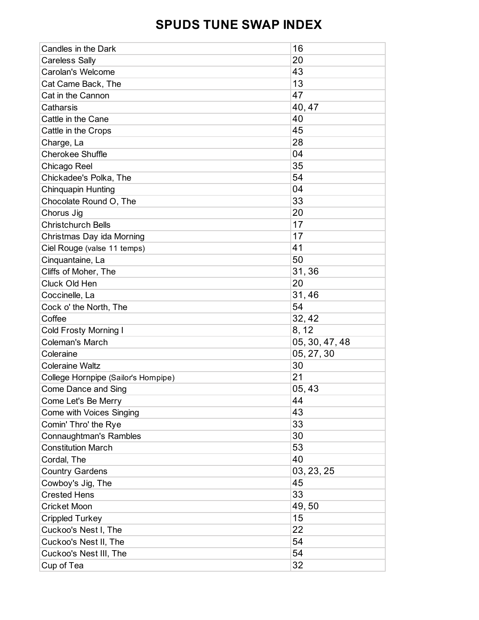| Candles in the Dark                 | 16             |
|-------------------------------------|----------------|
| <b>Careless Sally</b>               | 20             |
| Carolan's Welcome                   | 43             |
| Cat Came Back, The                  | 13             |
| Cat in the Cannon                   | 47             |
| Catharsis                           | 40, 47         |
| Cattle in the Cane                  | 40             |
| Cattle in the Crops                 | 45             |
| Charge, La                          | 28             |
| <b>Cherokee Shuffle</b>             | 04             |
| Chicago Reel                        | 35             |
| Chickadee's Polka, The              | 54             |
| <b>Chinquapin Hunting</b>           | 04             |
| Chocolate Round O, The              | 33             |
| Chorus Jig                          | 20             |
| <b>Christchurch Bells</b>           | 17             |
| Christmas Day ida Morning           | 17             |
| Ciel Rouge (valse 11 temps)         | 41             |
| Cinquantaine, La                    | 50             |
| Cliffs of Moher, The                | 31,36          |
| Cluck Old Hen                       | 20             |
| Coccinelle, La                      | 31,46          |
| Cock o' the North, The              | 54             |
| Coffee                              | 32, 42         |
| <b>Cold Frosty Morning I</b>        | 8, 12          |
| <b>Coleman's March</b>              | 05, 30, 47, 48 |
| Coleraine                           | 05, 27, 30     |
| <b>Coleraine Waltz</b>              | 30             |
| College Hornpipe (Sailor's Hompipe) | 21             |
| <b>Come Dance and Sing</b>          | 05,43          |
| Come Let's Be Merry                 | 44             |
| <b>Come with Voices Singing</b>     | 43             |
| Comin' Thro' the Rye                | 33             |
| <b>Connaughtman's Rambles</b>       | 30             |
| <b>Constitution March</b>           | 53             |
| Cordal, The                         | 40             |
| <b>Country Gardens</b>              | 03, 23, 25     |
| Cowboy's Jig, The                   | 45             |
| <b>Crested Hens</b>                 | 33             |
| <b>Cricket Moon</b>                 | 49,50          |
| <b>Crippled Turkey</b>              | 15             |
| Cuckoo's Nest I, The                | 22             |
| Cuckoo's Nest II, The               | 54             |
| Cuckoo's Nest III, The              | 54             |
| Cup of Tea                          | 32             |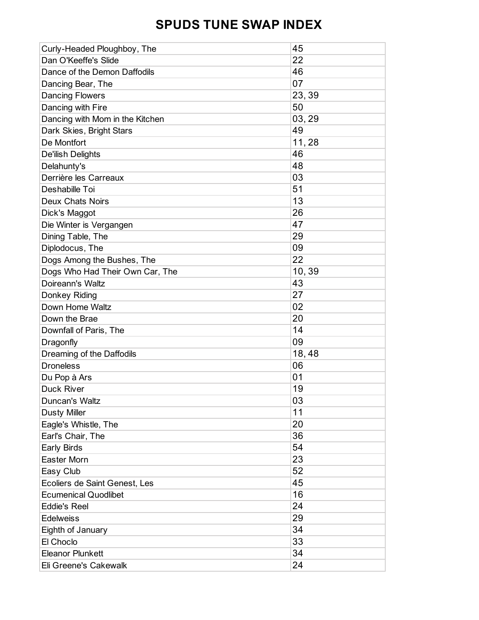| Curly-Headed Ploughboy, The     | 45     |
|---------------------------------|--------|
| Dan O'Keeffe's Slide            | 22     |
| Dance of the Demon Daffodils    | 46     |
| Dancing Bear, The               | 07     |
| <b>Dancing Flowers</b>          | 23, 39 |
| Dancing with Fire               | 50     |
| Dancing with Mom in the Kitchen | 03, 29 |
| Dark Skies, Bright Stars        | 49     |
| De Montfort                     | 11,28  |
| De'ilish Delights               | 46     |
| Delahunty's                     | 48     |
| Derrière les Carreaux           | 03     |
| Deshabille Toi                  | 51     |
| <b>Deux Chats Noirs</b>         | 13     |
| Dick's Maggot                   | 26     |
| Die Winter is Vergangen         | 47     |
| Dining Table, The               | 29     |
| Diplodocus, The                 | 09     |
| Dogs Among the Bushes, The      | 22     |
| Dogs Who Had Their Own Car, The | 10,39  |
| Doireann's Waltz                | 43     |
| Donkey Riding                   | 27     |
| Down Home Waltz                 | 02     |
| Down the Brae                   | 20     |
| Downfall of Paris, The          | 14     |
| Dragonfly                       | 09     |
| Dreaming of the Daffodils       | 18,48  |
| <b>Droneless</b>                | 06     |
| Du Pop à Ars                    | 01     |
| <b>Duck River</b>               | 19     |
| Duncan's Waltz                  | 03     |
| <b>Dusty Miller</b>             | 11     |
| Eagle's Whistle, The            | 20     |
| Earl's Chair, The               | 36     |
| Early Birds                     | 54     |
| Easter Morn                     | 23     |
| Easy Club                       | 52     |
| Ecoliers de Saint Genest, Les   | 45     |
| <b>Ecumenical Quodlibet</b>     | 16     |
| <b>Eddie's Reel</b>             | 24     |
| <b>Edelweiss</b>                | 29     |
| Eighth of January               | 34     |
| El Choclo                       | 33     |
| <b>Eleanor Plunkett</b>         | 34     |
| Eli Greene's Cakewalk           | 24     |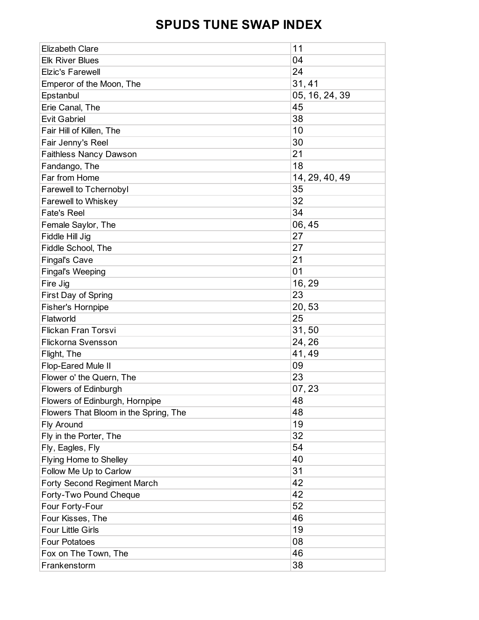| <b>Elizabeth Clare</b>                | 11             |
|---------------------------------------|----------------|
| <b>Elk River Blues</b>                | 04             |
| <b>Elzic's Farewell</b>               | 24             |
| Emperor of the Moon, The              | 31,41          |
| Epstanbul                             | 05, 16, 24, 39 |
| Erie Canal, The                       | 45             |
| <b>Evit Gabriel</b>                   | 38             |
| Fair Hill of Killen, The              | 10             |
| Fair Jenny's Reel                     | 30             |
| <b>Faithless Nancy Dawson</b>         | 21             |
| Fandango, The                         | 18             |
| Far from Home                         | 14, 29, 40, 49 |
| Farewell to Tchernobyl                | 35             |
| Farewell to Whiskey                   | 32             |
| <b>Fate's Reel</b>                    | 34             |
| Female Saylor, The                    | 06,45          |
| Fiddle Hill Jig                       | 27             |
| Fiddle School, The                    | 27             |
| <b>Fingal's Cave</b>                  | 21             |
| <b>Fingal's Weeping</b>               | 01             |
| Fire Jig                              | 16, 29         |
| First Day of Spring                   | 23             |
| <b>Fisher's Hornpipe</b>              | 20,53          |
| Flatworld                             | 25             |
| Flickan Fran Torsvi                   | 31,50          |
| <b>Flickorna Svensson</b>             | 24, 26         |
| Flight, The                           | 41,49          |
| Flop-Eared Mule II                    | 09             |
| Flower o' the Quern, The              | 23             |
| <b>Flowers of Edinburgh</b>           | 07, 23         |
| Flowers of Edinburgh, Hornpipe        | 48             |
| Flowers That Bloom in the Spring, The | 48             |
| Fly Around                            | 19             |
| Fly in the Porter, The                | 32             |
| Fly, Eagles, Fly                      | 54             |
| Flying Home to Shelley                | 40             |
| Follow Me Up to Carlow                | 31             |
| <b>Forty Second Regiment March</b>    | 42             |
| Forty-Two Pound Cheque                | 42             |
| Four Forty-Four                       | 52             |
| Four Kisses, The                      | 46             |
| <b>Four Little Girls</b>              | 19             |
| <b>Four Potatoes</b>                  | 08             |
| Fox on The Town, The                  | 46             |
| Frankenstorm                          | 38             |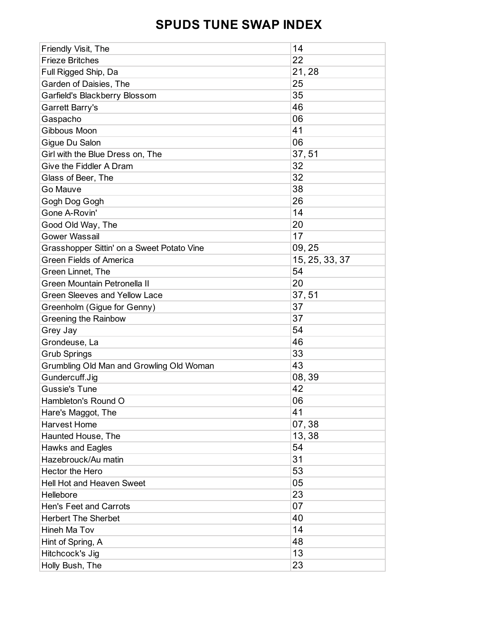| Friendly Visit, The                        | 14             |
|--------------------------------------------|----------------|
| <b>Frieze Britches</b>                     | 22             |
| Full Rigged Ship, Da                       | 21,28          |
| Garden of Daisies, The                     | 25             |
| Garfield's Blackberry Blossom              | 35             |
| Garrett Barry's                            | 46             |
| Gaspacho                                   | 06             |
| Gibbous Moon                               | 41             |
| Gigue Du Salon                             | 06             |
| Girl with the Blue Dress on, The           | 37,51          |
| Give the Fiddler A Dram                    | 32             |
| Glass of Beer, The                         | 32             |
| Go Mauve                                   | 38             |
| Gogh Dog Gogh                              | 26             |
| Gone A-Rovin'                              | 14             |
| Good Old Way, The                          | 20             |
| <b>Gower Wassail</b>                       | 17             |
| Grasshopper Sittin' on a Sweet Potato Vine | 09, 25         |
| <b>Green Fields of America</b>             | 15, 25, 33, 37 |
| Green Linnet, The                          | 54             |
| Green Mountain Petronella II               | 20             |
| <b>Green Sleeves and Yellow Lace</b>       | 37,51          |
| Greenholm (Gigue for Genny)                | 37             |
| <b>Greening the Rainbow</b>                | 37             |
| Grey Jay                                   | 54             |
| Grondeuse, La                              | 46             |
| <b>Grub Springs</b>                        | 33             |
| Grumbling Old Man and Growling Old Woman   | 43             |
| Gundercuff.Jig                             | 08, 39         |
| <b>Gussie's Tune</b>                       | 42             |
| Hambleton's Round O                        | 06             |
| Hare's Maggot, The                         | 41             |
| Harvest Home                               | 07,38          |
| Haunted House, The                         | 13,38          |
| <b>Hawks and Eagles</b>                    | 54             |
| Hazebrouck/Au matin                        | 31             |
| <b>Hector the Hero</b>                     | 53             |
| <b>Hell Hot and Heaven Sweet</b>           | 05             |
| Hellebore                                  | 23             |
| <b>Hen's Feet and Carrots</b>              | 07             |
| <b>Herbert The Sherbet</b>                 | 40             |
| Hineh Ma Tov                               | 14             |
| Hint of Spring, A                          | 48             |
| Hitchcock's Jig                            | 13             |
| Holly Bush, The                            | 23             |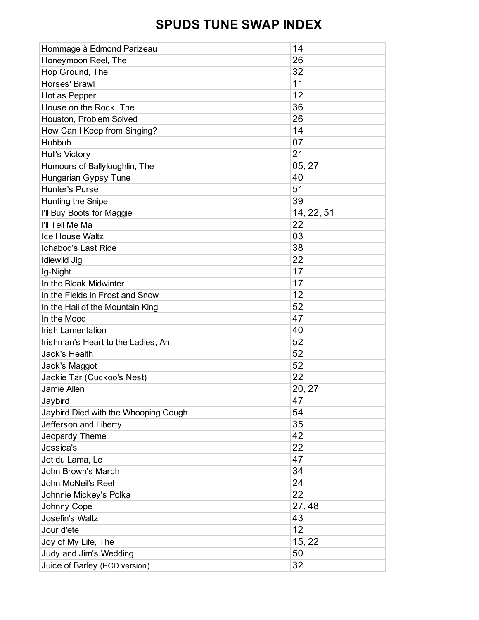| Hommage à Edmond Parizeau            | 14         |
|--------------------------------------|------------|
| Honeymoon Reel, The                  | 26         |
| Hop Ground, The                      | 32         |
| Horses' Brawl                        | 11         |
| Hot as Pepper                        | 12         |
| House on the Rock, The               | 36         |
| Houston, Problem Solved              | 26         |
| How Can I Keep from Singing?         | 14         |
| Hubbub                               | 07         |
| <b>Hull's Victory</b>                | 21         |
| Humours of Ballyloughlin, The        | 05, 27     |
| Hungarian Gypsy Tune                 | 40         |
| <b>Hunter's Purse</b>                | 51         |
| Hunting the Snipe                    | 39         |
| I'll Buy Boots for Maggie            | 14, 22, 51 |
| I'll Tell Me Ma                      | 22         |
| <b>Ice House Waltz</b>               | 03         |
| <b>Ichabod's Last Ride</b>           | 38         |
| <b>Idlewild Jig</b>                  | 22         |
| Ig-Night                             | 17         |
| In the Bleak Midwinter               | 17         |
| In the Fields in Frost and Snow      | 12         |
| In the Hall of the Mountain King     | 52         |
| In the Mood                          | 47         |
| <b>Irish Lamentation</b>             | 40         |
| Irishman's Heart to the Ladies, An   | 52         |
| <b>Jack's Health</b>                 | 52         |
| Jack's Maggot                        | 52         |
| Jackie Tar (Cuckoo's Nest)           | 22         |
| Jamie Allen                          | 20, 27     |
| Jaybird                              | 47         |
| Jaybird Died with the Whooping Cough | 54         |
| Jefferson and Liberty                | 35         |
| Jeopardy Theme                       | 42         |
| Jessica's                            | 22         |
| Jet du Lama, Le                      | 47         |
| John Brown's March                   | 34         |
| John McNeil's Reel                   | 24         |
| Johnnie Mickey's Polka               | 22         |
| Johnny Cope                          | 27,48      |
| Josefin's Waltz                      | 43         |
| Jour d'ete                           | 12         |
| Joy of My Life, The                  | 15, 22     |
| Judy and Jim's Wedding               | 50         |
| Juice of Barley (ECD version)        | 32         |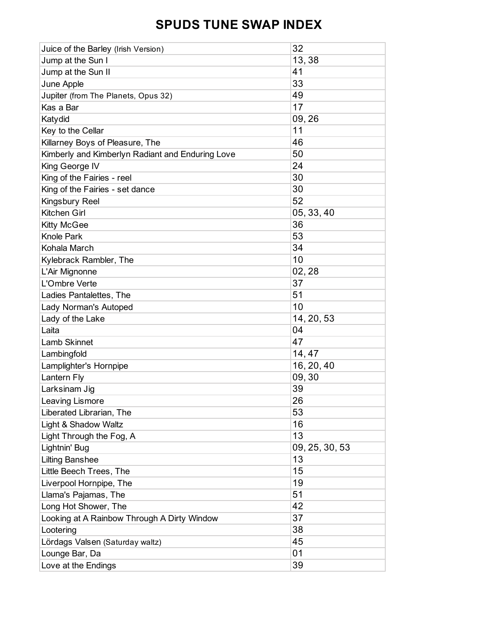| 13,38<br>Jump at the Sun I<br>41<br>Jump at the Sun II<br>33<br>June Apple<br>49<br>Jupiter (from The Planets, Opus 32)<br>17<br>Kas a Bar<br>09,26<br>Katydid<br>11<br>Key to the Cellar |
|-------------------------------------------------------------------------------------------------------------------------------------------------------------------------------------------|
|                                                                                                                                                                                           |
|                                                                                                                                                                                           |
|                                                                                                                                                                                           |
|                                                                                                                                                                                           |
|                                                                                                                                                                                           |
|                                                                                                                                                                                           |
|                                                                                                                                                                                           |
| 46<br>Killarney Boys of Pleasure, The                                                                                                                                                     |
| 50<br>Kimberly and Kimberlyn Radiant and Enduring Love                                                                                                                                    |
| 24<br>King George IV                                                                                                                                                                      |
| 30<br>King of the Fairies - reel                                                                                                                                                          |
| 30<br>King of the Fairies - set dance                                                                                                                                                     |
| 52<br>Kingsbury Reel                                                                                                                                                                      |
| Kitchen Girl<br>05, 33, 40                                                                                                                                                                |
| 36<br><b>Kitty McGee</b>                                                                                                                                                                  |
| 53<br><b>Knole Park</b>                                                                                                                                                                   |
| 34<br>Kohala March                                                                                                                                                                        |
| 10<br>Kylebrack Rambler, The                                                                                                                                                              |
| 02, 28<br>L'Air Mignonne                                                                                                                                                                  |
| 37<br>L'Ombre Verte                                                                                                                                                                       |
| 51<br>Ladies Pantalettes, The                                                                                                                                                             |
| 10<br>Lady Norman's Autoped                                                                                                                                                               |
| 14, 20, 53<br>Lady of the Lake                                                                                                                                                            |
| 04<br>Laita                                                                                                                                                                               |
| 47<br><b>Lamb Skinnet</b>                                                                                                                                                                 |
| 14, 47<br>Lambingfold                                                                                                                                                                     |
| 16, 20, 40<br>Lamplighter's Hornpipe                                                                                                                                                      |
| 09,30<br>Lantern Fly                                                                                                                                                                      |
| 39<br>Larksinam Jig                                                                                                                                                                       |
| 26<br>Leaving Lismore                                                                                                                                                                     |
| 53<br>Liberated Librarian, The                                                                                                                                                            |
| 16<br>Light & Shadow Waltz                                                                                                                                                                |
| 13<br>Light Through the Fog, A                                                                                                                                                            |
| 09, 25, 30, 53<br>Lightnin' Bug                                                                                                                                                           |
| 13<br><b>Lilting Banshee</b>                                                                                                                                                              |
| 15<br>Little Beech Trees, The                                                                                                                                                             |
| 19<br>Liverpool Hornpipe, The                                                                                                                                                             |
| 51<br>Llama's Pajamas, The                                                                                                                                                                |
| 42<br>Long Hot Shower, The                                                                                                                                                                |
| 37<br>Looking at A Rainbow Through A Dirty Window                                                                                                                                         |
| 38<br>Lootering                                                                                                                                                                           |
| 45<br>Lördags Valsen (Saturday waltz)                                                                                                                                                     |
| 01<br>Lounge Bar, Da                                                                                                                                                                      |
| 39<br>Love at the Endings                                                                                                                                                                 |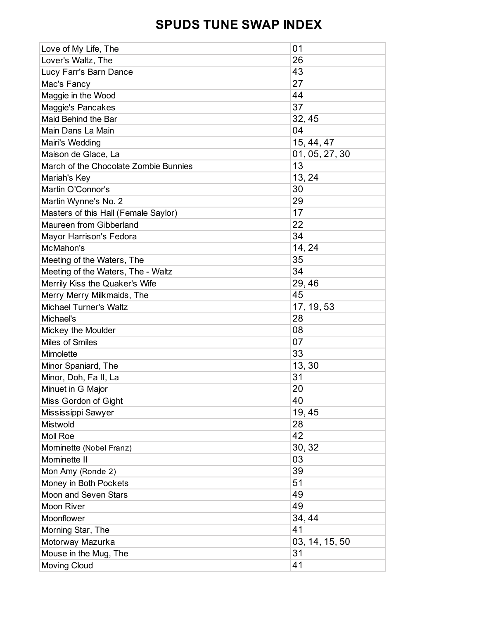| Love of My Life, The                  | 01             |
|---------------------------------------|----------------|
| Lover's Waltz, The                    | 26             |
| Lucy Farr's Barn Dance                | 43             |
| Mac's Fancy                           | 27             |
| Maggie in the Wood                    | 44             |
| Maggie's Pancakes                     | 37             |
| Maid Behind the Bar                   | 32, 45         |
| Main Dans La Main                     | 04             |
| Mairi's Wedding                       | 15, 44, 47     |
| Maison de Glace, La                   | 01, 05, 27, 30 |
| March of the Chocolate Zombie Bunnies | 13             |
| Mariah's Key                          | 13, 24         |
| Martin O'Connor's                     | 30             |
| Martin Wynne's No. 2                  | 29             |
| Masters of this Hall (Female Saylor)  | 17             |
| Maureen from Gibberland               | 22             |
| Mayor Harrison's Fedora               | 34             |
| McMahon's                             | 14, 24         |
| Meeting of the Waters, The            | 35             |
| Meeting of the Waters, The - Waltz    | 34             |
| Merrily Kiss the Quaker's Wife        | 29,46          |
| Merry Merry Milkmaids, The            | 45             |
| <b>Michael Turner's Waltz</b>         | 17, 19, 53     |
| Michael's                             | 28             |
| Mickey the Moulder                    | 08             |
| Miles of Smiles                       | 07             |
| Mimolette                             | 33             |
| Minor Spaniard, The                   | 13,30          |
| Minor, Doh, Fa II, La                 | 31             |
| Minuet in G Major                     | 20             |
| Miss Gordon of Gight                  | 40             |
| Mississippi Sawyer                    | 19,45          |
| Mistwold                              | 28             |
| <b>Moll Roe</b>                       | 42             |
| Mominette (Nobel Franz)               | 30, 32         |
| Mominette II                          | 03             |
| Mon Amy (Ronde 2)                     | 39             |
| Money in Both Pockets                 | 51             |
| Moon and Seven Stars                  | 49             |
| Moon River                            | 49             |
| Moonflower                            | 34, 44         |
| Morning Star, The                     | 41             |
| Motorway Mazurka                      | 03, 14, 15, 50 |
| Mouse in the Mug, The                 | 31             |
| Moving Cloud                          | 41             |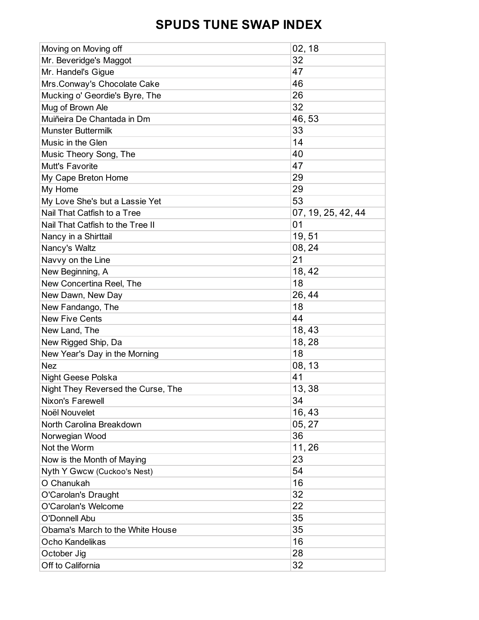| Moving on Moving off               | 02, 18             |
|------------------------------------|--------------------|
| Mr. Beveridge's Maggot             | 32                 |
| Mr. Handel's Gigue                 | 47                 |
| Mrs.Conway's Chocolate Cake        | 46                 |
| Mucking o' Geordie's Byre, The     | 26                 |
| Mug of Brown Ale                   | 32                 |
| Muiñeira De Chantada in Dm         | 46, 53             |
| <b>Munster Buttermilk</b>          | 33                 |
| Music in the Glen                  | 14                 |
| Music Theory Song, The             | 40                 |
| <b>Mutt's Favorite</b>             | 47                 |
| My Cape Breton Home                | 29                 |
| My Home                            | 29                 |
| My Love She's but a Lassie Yet     | 53                 |
| Nail That Catfish to a Tree        | 07, 19, 25, 42, 44 |
| Nail That Catfish to the Tree II   | 01                 |
| Nancy in a Shirttail               | 19,51              |
| Nancy's Waltz                      | 08, 24             |
| Navvy on the Line                  | 21                 |
| New Beginning, A                   | 18, 42             |
| New Concertina Reel, The           | 18                 |
| New Dawn, New Day                  | 26, 44             |
| New Fandango, The                  | 18                 |
| <b>New Five Cents</b>              | 44                 |
| New Land, The                      | 18,43              |
| New Rigged Ship, Da                | 18,28              |
| New Year's Day in the Morning      | 18                 |
| <b>Nez</b>                         | 08, 13             |
| Night Geese Polska                 | 41                 |
| Night They Reversed the Curse, The | 13, 38             |
| Nixon's Farewell                   | 34                 |
| Noël Nouvelet                      | 16,43              |
| North Carolina Breakdown           | 05, 27             |
| Norwegian Wood                     | 36                 |
| Not the Worm                       | 11,26              |
| Now is the Month of Maying         | 23                 |
| Nyth Y Gwcw (Cuckoo's Nest)        | 54                 |
| O Chanukah                         | 16                 |
| O'Carolan's Draught                | 32                 |
| O'Carolan's Welcome                | 22                 |
| O'Donnell Abu                      | 35                 |
| Obama's March to the White House   | 35                 |
| Ocho Kandelikas                    | 16                 |
| October Jig                        | 28                 |
| Off to California                  | 32                 |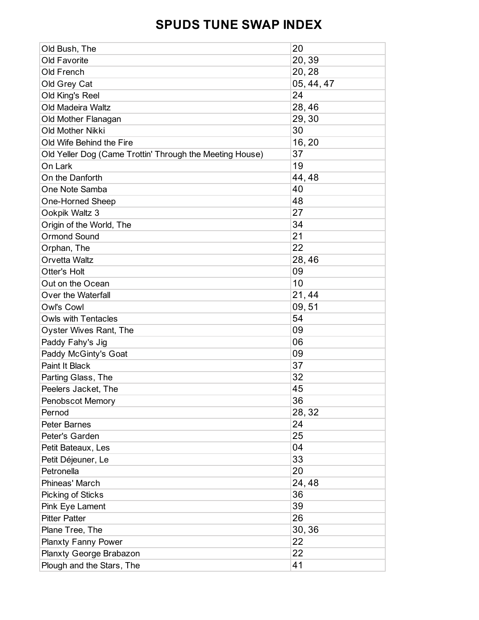| Old Bush, The                                            | 20         |
|----------------------------------------------------------|------------|
| Old Favorite                                             | 20,39      |
| Old French                                               | 20, 28     |
| Old Grey Cat                                             | 05, 44, 47 |
| Old King's Reel                                          | 24         |
| <b>Old Madeira Waltz</b>                                 | 28,46      |
| Old Mother Flanagan                                      | 29, 30     |
| Old Mother Nikki                                         | 30         |
| Old Wife Behind the Fire                                 | 16, 20     |
| Old Yeller Dog (Came Trottin' Through the Meeting House) | 37         |
| On Lark                                                  | 19         |
| On the Danforth                                          | 44, 48     |
| One Note Samba                                           | 40         |
| One-Horned Sheep                                         | 48         |
| Ookpik Waltz 3                                           | 27         |
| Origin of the World, The                                 | 34         |
| <b>Ormond Sound</b>                                      | 21         |
| Orphan, The                                              | 22         |
| Orvetta Waltz                                            | 28,46      |
| Otter's Holt                                             | 09         |
| Out on the Ocean                                         | 10         |
| Over the Waterfall                                       | 21,44      |
| Owl's Cowl                                               | 09,51      |
| <b>Owls with Tentacles</b>                               | 54         |
| Oyster Wives Rant, The                                   | 09         |
| Paddy Fahy's Jig                                         | 06         |
| Paddy McGinty's Goat                                     | 09         |
| Paint It Black                                           | 37         |
| Parting Glass, The                                       | 32         |
| Peelers Jacket, The                                      | 45         |
| <b>Penobscot Memory</b>                                  | 36         |
| Pernod                                                   | 28, 32     |
| <b>Peter Barnes</b>                                      | 24         |
| Peter's Garden                                           | 25         |
| Petit Bateaux, Les                                       | 04         |
| Petit Déjeuner, Le                                       | 33         |
| Petronella                                               | 20         |
| Phineas' March                                           | 24,48      |
| Picking of Sticks                                        | 36         |
| Pink Eye Lament                                          | 39         |
| <b>Pitter Patter</b>                                     | 26         |
| Plane Tree, The                                          | 30, 36     |
| <b>Planxty Fanny Power</b>                               | 22         |
| Planxty George Brabazon                                  | 22         |
| Plough and the Stars, The                                | 41         |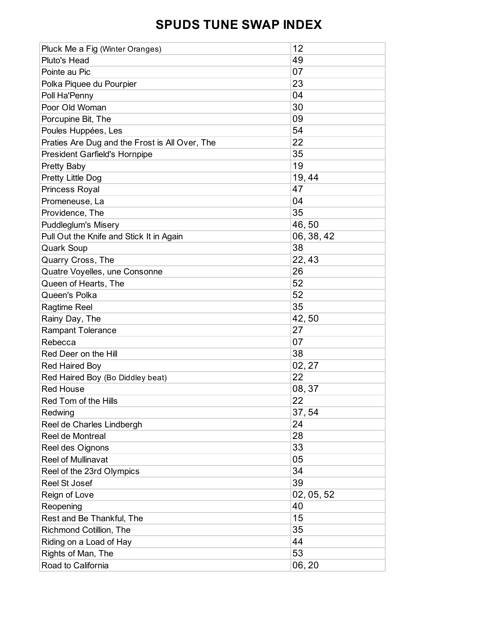| Pluck Me a Fig (Winter Oranges)                | 12         |
|------------------------------------------------|------------|
| Pluto's Head                                   | 49         |
| Pointe au Pic                                  | 07         |
| Polka Piquee du Pourpier                       | 23         |
| Poll Ha'Penny                                  | 04         |
| Poor Old Woman                                 | 30         |
| Porcupine Bit, The                             | 09         |
| Poules Huppées, Les                            | 54         |
| Praties Are Dug and the Frost is All Over, The | 22         |
| <b>President Garfield's Hornpipe</b>           | 35         |
| <b>Pretty Baby</b>                             | 19         |
| Pretty Little Dog                              | 19, 44     |
| Princess Royal                                 | 47         |
| Promeneuse, La                                 | 04         |
| Providence, The                                | 35         |
| <b>Puddleglum's Misery</b>                     | 46,50      |
| Pull Out the Knife and Stick It in Again       | 06, 38, 42 |
| <b>Quark Soup</b>                              | 38         |
| Quarry Cross, The                              | 22, 43     |
| Quatre Voyelles, une Consonne                  | 26         |
| Queen of Hearts, The                           | 52         |
| Queen's Polka                                  | 52         |
| Ragtime Reel                                   | 35         |
| Rainy Day, The                                 | 42,50      |
| <b>Rampant Tolerance</b>                       | 27         |
| Rebecca                                        | 07         |
| Red Deer on the Hill                           | 38         |
| <b>Red Haired Boy</b>                          | 02, 27     |
| Red Haired Boy (Bo Diddley beat)               | 22         |
| <b>Red House</b>                               | 08, 37     |
| Red Tom of the Hills                           | 22         |
| Redwing                                        | 37,54      |
| Reel de Charles Lindbergh                      | 24         |
| Reel de Montreal                               | 28         |
| Reel des Oignons                               | 33         |
| Reel of Mullinavat                             | 05         |
| Reel of the 23rd Olympics                      | 34         |
| <b>Reel St Josef</b>                           | 39         |
| Reign of Love                                  | 02, 05, 52 |
| Reopening                                      | 40         |
| Rest and Be Thankful, The                      | 15         |
| Richmond Cotillion, The                        | 35         |
| Riding on a Load of Hay                        | 44         |
| Rights of Man, The                             | 53         |
| Road to California                             | 06, 20     |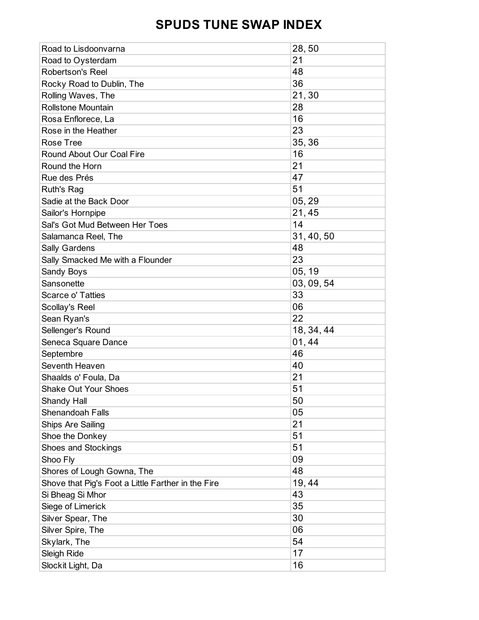| Road to Lisdoonvarna                               | 28,50      |
|----------------------------------------------------|------------|
| Road to Oysterdam                                  | 21         |
| <b>Robertson's Reel</b>                            | 48         |
| Rocky Road to Dublin, The                          | 36         |
| Rolling Waves, The                                 | 21,30      |
| <b>Rollstone Mountain</b>                          | 28         |
| Rosa Enflorece, La                                 | 16         |
| Rose in the Heather                                | 23         |
| Rose Tree                                          | 35, 36     |
| Round About Our Coal Fire                          | 16         |
| Round the Horn                                     | 21         |
| Rue des Prés                                       | 47         |
| Ruth's Rag                                         | 51         |
| Sadie at the Back Door                             | 05, 29     |
| Sailor's Hornpipe                                  | 21, 45     |
| Sal's Got Mud Between Her Toes                     | 14         |
| Salamanca Reel, The                                | 31, 40, 50 |
| Sally Gardens                                      | 48         |
| Sally Smacked Me with a Flounder                   | 23         |
| Sandy Boys                                         | 05, 19     |
| Sansonette                                         | 03, 09, 54 |
| Scarce o' Tatties                                  | 33         |
| Scollay's Reel                                     | 06         |
| Sean Ryan's                                        | 22         |
| Sellenger's Round                                  | 18, 34, 44 |
| Seneca Square Dance                                | 01,44      |
| Septembre                                          | 46         |
| Seventh Heaven                                     | 40         |
| Shaalds o' Foula, Da                               | 21         |
| <b>Shake Out Your Shoes</b>                        | 51         |
| Shandy Hall                                        | 50         |
| Shenandoah Falls                                   | 05         |
| Ships Are Sailing                                  | 21         |
| Shoe the Donkey                                    | 51         |
| Shoes and Stockings                                | 51         |
| Shoo Fly                                           | 09         |
| Shores of Lough Gowna, The                         | 48         |
| Shove that Pig's Foot a Little Farther in the Fire | 19, 44     |
| Si Bheag Si Mhor                                   | 43         |
| Siege of Limerick                                  | 35         |
| Silver Spear, The                                  | 30         |
| Silver Spire, The                                  | 06         |
| Skylark, The                                       | 54         |
| Sleigh Ride                                        | 17         |
| Slockit Light, Da                                  | 16         |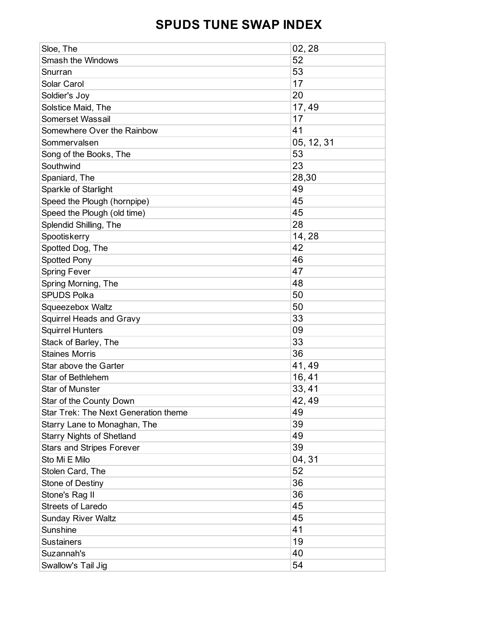| Sloe, The                            | 02, 28     |
|--------------------------------------|------------|
| <b>Smash the Windows</b>             | 52         |
| Snurran                              | 53         |
| Solar Carol                          | 17         |
| Soldier's Joy                        | 20         |
| Solstice Maid, The                   | 17,49      |
| Somerset Wassail                     | 17         |
| Somewhere Over the Rainbow           | 41         |
| Sommervalsen                         | 05, 12, 31 |
| Song of the Books, The               | 53         |
| Southwind                            | 23         |
| Spaniard, The                        | 28,30      |
| Sparkle of Starlight                 | 49         |
| Speed the Plough (hornpipe)          | 45         |
| Speed the Plough (old time)          | 45         |
| Splendid Shilling, The               | 28         |
| Spootiskerry                         | 14, 28     |
| Spotted Dog, The                     | 42         |
| <b>Spotted Pony</b>                  | 46         |
| <b>Spring Fever</b>                  | 47         |
| Spring Morning, The                  | 48         |
| <b>SPUDS Polka</b>                   | 50         |
| Squeezebox Waltz                     | 50         |
| <b>Squirrel Heads and Gravy</b>      | 33         |
| <b>Squirrel Hunters</b>              | 09         |
| Stack of Barley, The                 | 33         |
| <b>Staines Morris</b>                | 36         |
| Star above the Garter                | 41,49      |
| <b>Star of Bethlehem</b>             | 16, 41     |
| <b>Star of Munster</b>               | 33, 41     |
| Star of the County Down              | 42, 49     |
| Star Trek: The Next Generation theme | 49         |
| Starry Lane to Monaghan, The         | 39         |
| <b>Starry Nights of Shetland</b>     | 49         |
| <b>Stars and Stripes Forever</b>     | 39         |
| Sto Mi E Milo                        | 04, 31     |
| Stolen Card, The                     | 52         |
| Stone of Destiny                     | 36         |
| Stone's Rag II                       | 36         |
| <b>Streets of Laredo</b>             | 45         |
| <b>Sunday River Waltz</b>            | 45         |
| Sunshine                             | 41         |
| <b>Sustainers</b>                    | 19         |
| Suzannah's                           | 40         |
| Swallow's Tail Jig                   | 54         |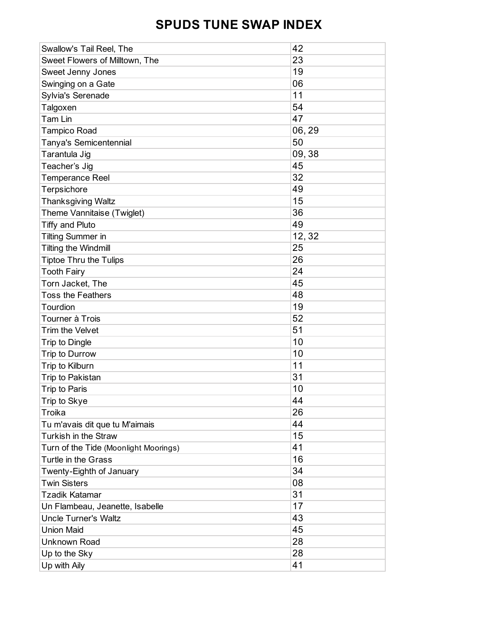| Swallow's Tail Reel, The              | 42     |
|---------------------------------------|--------|
| Sweet Flowers of Milltown, The        | 23     |
| Sweet Jenny Jones                     | 19     |
| Swinging on a Gate                    | 06     |
| Sylvia's Serenade                     | 11     |
| Talgoxen                              | 54     |
| Tam Lin                               | 47     |
| <b>Tampico Road</b>                   | 06, 29 |
| Tanya's Semicentennial                | 50     |
| Tarantula Jig                         | 09, 38 |
| Teacher's Jig                         | 45     |
| <b>Temperance Reel</b>                | 32     |
| Terpsichore                           | 49     |
| <b>Thanksgiving Waltz</b>             | 15     |
| Theme Vannitaise (Twiglet)            | 36     |
| <b>Tiffy and Pluto</b>                | 49     |
| <b>Tilting Summer in</b>              | 12, 32 |
| Tilting the Windmill                  | 25     |
| <b>Tiptoe Thru the Tulips</b>         | 26     |
| <b>Tooth Fairy</b>                    | 24     |
| Torn Jacket, The                      | 45     |
| <b>Toss the Feathers</b>              | 48     |
| Tourdion                              | 19     |
| Tourner à Trois                       | 52     |
| Trim the Velvet                       | 51     |
| Trip to Dingle                        | 10     |
| Trip to Durrow                        | 10     |
| Trip to Kilburn                       | 11     |
| Trip to Pakistan                      | 31     |
| <b>Trip to Paris</b>                  | 10     |
| Trip to Skye                          | 44     |
| Troika                                | 26     |
| Tu m'avais dit que tu M'aimais        | 44     |
| Turkish in the Straw                  | 15     |
| Turn of the Tide (Moonlight Moorings) | 41     |
| Turtle in the Grass                   | 16     |
| Twenty-Eighth of January              | 34     |
| <b>Twin Sisters</b>                   | 08     |
| <b>Tzadik Katamar</b>                 | 31     |
| Un Flambeau, Jeanette, Isabelle       | 17     |
| <b>Uncle Turner's Waltz</b>           | 43     |
| <b>Union Maid</b>                     | 45     |
| Unknown Road                          | 28     |
| Up to the Sky                         | 28     |
| Up with Aily                          | 41     |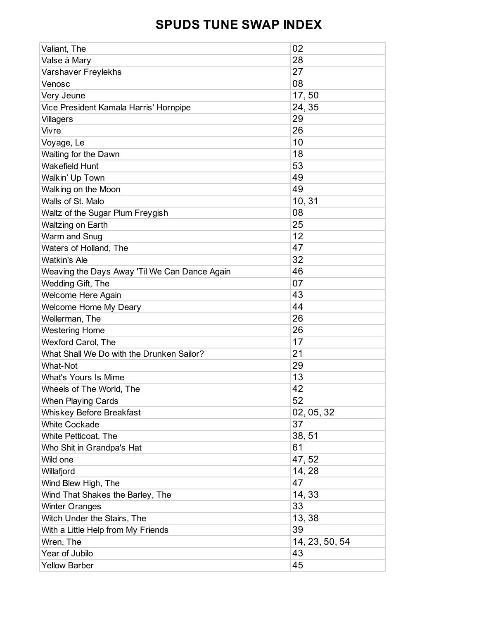| Valiant, The                                  | 02             |
|-----------------------------------------------|----------------|
| Valse à Mary                                  | 28             |
| Varshaver Freylekhs                           | 27             |
| Venosc                                        | 08             |
| Very Jeune                                    | 17,50          |
| Vice President Kamala Harris' Hornpipe        | 24, 35         |
| <b>Villagers</b>                              | 29             |
| Vivre                                         | 26             |
| Voyage, Le                                    | 10             |
| Waiting for the Dawn                          | 18             |
| <b>Wakefield Hunt</b>                         | 53             |
| Walkin' Up Town                               | 49             |
| Walking on the Moon                           | 49             |
| Walls of St. Malo                             | 10, 31         |
| Waltz of the Sugar Plum Freygish              | 08             |
| Waltzing on Earth                             | 25             |
| Warm and Snug                                 | 12             |
| Waters of Holland, The                        | 47             |
| <b>Watkin's Ale</b>                           | 32             |
| Weaving the Days Away 'Til We Can Dance Again | 46             |
| Wedding Gift, The                             | 07             |
| Welcome Here Again                            | 43             |
| <b>Welcome Home My Deary</b>                  | 44             |
| Wellerman, The                                | 26             |
| <b>Westering Home</b>                         | 26             |
| Wexford Carol, The                            | 17             |
| What Shall We Do with the Drunken Sailor?     | 21             |
| <b>What-Not</b>                               | 29             |
| <b>What's Yours Is Mime</b>                   | 13             |
| Wheels of The World, The                      | 42             |
| <b>When Playing Cards</b>                     | 52             |
| <b>Whiskey Before Breakfast</b>               | 02, 05, 32     |
| <b>White Cockade</b>                          | 37             |
| White Petticoat, The                          | 38,51          |
| Who Shit in Grandpa's Hat                     | 61             |
| Wild one                                      | 47,52          |
| Willafjord                                    | 14,28          |
| Wind Blew High, The                           | 47             |
| Wind That Shakes the Barley, The              | 14,33          |
| <b>Winter Oranges</b>                         | 33             |
| Witch Under the Stairs, The                   | 13, 38         |
| With a Little Help from My Friends            | 39             |
| Wren, The                                     | 14, 23, 50, 54 |
| Year of Jubilo                                | 43             |
| <b>Yellow Barber</b>                          | 45             |